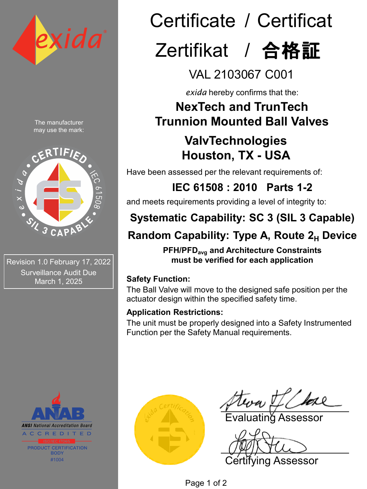

The manufacturer may use the mark:



Revision 1.0 February 17, 2022 Surveillance Audit Due March 1, 2025



# Certificate / Certificat Zertifikat / 合格証

VAL 2103067 C001

*exida* hereby confirms that the:

### **NexTech and TrunTech Trunnion Mounted Ball Valves**

# **ValvTechnologies Houston, TX - USA**

Have been assessed per the relevant requirements of:

**IEC 61508 : 2010 Parts 1-2** 

and meets requirements providing a level of integrity to:

# **Systematic Capability: SC 3 (SIL 3 Capable)**

# **Random Capability: Type A, Route 2<sub>H</sub> Device**

**PFH/PFDavg and Architecture Constraints must be verified for each application**

### **Safety Function:**

The Ball Valve will move to the designed safe position per the actuator design within the specified safety time.

### **Application Restrictions:**

The unit must be properly designed into a Safety Instrumented Function per the Safety Manual requirements.



Evaluating Assessor

Certifying Assessor

Page 1 of 2